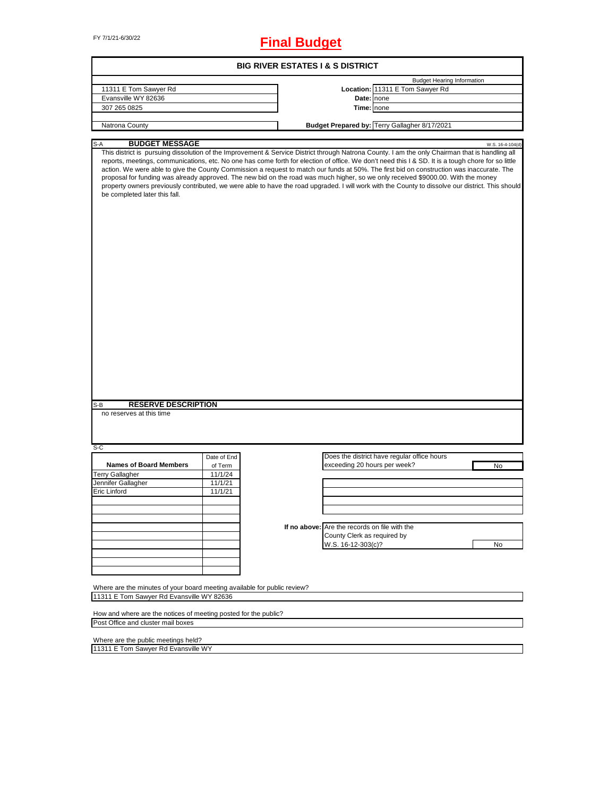FY 7/1/21-6/30/22 **Final Budget**

|                                                                                                                                                                                                                                                                                                                                                                                                                                                                                                                                                                                                                                                                                                                                                                               |             |  | <b>BIG RIVER ESTATES I &amp; S DISTRICT</b>   |                                               |                  |
|-------------------------------------------------------------------------------------------------------------------------------------------------------------------------------------------------------------------------------------------------------------------------------------------------------------------------------------------------------------------------------------------------------------------------------------------------------------------------------------------------------------------------------------------------------------------------------------------------------------------------------------------------------------------------------------------------------------------------------------------------------------------------------|-------------|--|-----------------------------------------------|-----------------------------------------------|------------------|
|                                                                                                                                                                                                                                                                                                                                                                                                                                                                                                                                                                                                                                                                                                                                                                               |             |  |                                               | <b>Budget Hearing Information</b>             |                  |
| 11311 E Tom Sawyer Rd                                                                                                                                                                                                                                                                                                                                                                                                                                                                                                                                                                                                                                                                                                                                                         |             |  |                                               | Location: 11311 E Tom Sawyer Rd               |                  |
| Evansville WY 82636                                                                                                                                                                                                                                                                                                                                                                                                                                                                                                                                                                                                                                                                                                                                                           |             |  |                                               | Date: none                                    |                  |
| 307 265 0825                                                                                                                                                                                                                                                                                                                                                                                                                                                                                                                                                                                                                                                                                                                                                                  |             |  | Time: none                                    |                                               |                  |
|                                                                                                                                                                                                                                                                                                                                                                                                                                                                                                                                                                                                                                                                                                                                                                               |             |  |                                               |                                               |                  |
| Natrona County                                                                                                                                                                                                                                                                                                                                                                                                                                                                                                                                                                                                                                                                                                                                                                |             |  |                                               | Budget Prepared by: Terry Gallagher 8/17/2021 |                  |
| <b>BUDGET MESSAGE</b><br>S-A                                                                                                                                                                                                                                                                                                                                                                                                                                                                                                                                                                                                                                                                                                                                                  |             |  |                                               |                                               | W.S. 16-4-104(d) |
| This district is pursuing dissolution of the Improvement & Service District through Natrona County. I am the only Chairman that is handling all<br>reports, meetings, communications, etc. No one has come forth for election of office. We don't need this I & SD. It is a tough chore for so little<br>action. We were able to give the County Commission a request to match our funds at 50%. The first bid on construction was inaccurate. The<br>proposal for funding was already approved. The new bid on the road was much higher, so we only received \$9000.00. With the money<br>property owners previously contributed, we were able to have the road upgraded. I will work with the County to dissolve our district. This should<br>be completed later this fall. |             |  |                                               |                                               |                  |
|                                                                                                                                                                                                                                                                                                                                                                                                                                                                                                                                                                                                                                                                                                                                                                               |             |  |                                               |                                               |                  |
| <b>RESERVE DESCRIPTION</b><br>S-B<br>no reserves at this time<br>S-C                                                                                                                                                                                                                                                                                                                                                                                                                                                                                                                                                                                                                                                                                                          |             |  |                                               |                                               |                  |
|                                                                                                                                                                                                                                                                                                                                                                                                                                                                                                                                                                                                                                                                                                                                                                               | Date of End |  |                                               | Does the district have regular office hours   |                  |
| <b>Names of Board Members</b>                                                                                                                                                                                                                                                                                                                                                                                                                                                                                                                                                                                                                                                                                                                                                 | of Term     |  | exceeding 20 hours per week?                  |                                               | No               |
| <b>Terry Gallagher</b>                                                                                                                                                                                                                                                                                                                                                                                                                                                                                                                                                                                                                                                                                                                                                        | 11/1/24     |  |                                               |                                               |                  |
| Jennifer Gallagher                                                                                                                                                                                                                                                                                                                                                                                                                                                                                                                                                                                                                                                                                                                                                            | 11/1/21     |  |                                               |                                               |                  |
| <b>Eric Linford</b>                                                                                                                                                                                                                                                                                                                                                                                                                                                                                                                                                                                                                                                                                                                                                           | 11/1/21     |  |                                               |                                               |                  |
|                                                                                                                                                                                                                                                                                                                                                                                                                                                                                                                                                                                                                                                                                                                                                                               |             |  |                                               |                                               |                  |
|                                                                                                                                                                                                                                                                                                                                                                                                                                                                                                                                                                                                                                                                                                                                                                               |             |  |                                               |                                               |                  |
|                                                                                                                                                                                                                                                                                                                                                                                                                                                                                                                                                                                                                                                                                                                                                                               |             |  |                                               |                                               |                  |
|                                                                                                                                                                                                                                                                                                                                                                                                                                                                                                                                                                                                                                                                                                                                                                               |             |  | If no above: Are the records on file with the |                                               |                  |
|                                                                                                                                                                                                                                                                                                                                                                                                                                                                                                                                                                                                                                                                                                                                                                               |             |  | County Clerk as required by                   |                                               |                  |
|                                                                                                                                                                                                                                                                                                                                                                                                                                                                                                                                                                                                                                                                                                                                                                               |             |  | W.S. 16-12-303(c)?                            |                                               | No               |
|                                                                                                                                                                                                                                                                                                                                                                                                                                                                                                                                                                                                                                                                                                                                                                               |             |  |                                               |                                               |                  |
|                                                                                                                                                                                                                                                                                                                                                                                                                                                                                                                                                                                                                                                                                                                                                                               |             |  |                                               |                                               |                  |
|                                                                                                                                                                                                                                                                                                                                                                                                                                                                                                                                                                                                                                                                                                                                                                               |             |  |                                               |                                               |                  |
|                                                                                                                                                                                                                                                                                                                                                                                                                                                                                                                                                                                                                                                                                                                                                                               |             |  |                                               |                                               |                  |
| Where are the minutes of your board meeting available for public review?<br>11311 E Tom Sawyer Rd Evansville WY 82636                                                                                                                                                                                                                                                                                                                                                                                                                                                                                                                                                                                                                                                         |             |  |                                               |                                               |                  |
|                                                                                                                                                                                                                                                                                                                                                                                                                                                                                                                                                                                                                                                                                                                                                                               |             |  |                                               |                                               |                  |
| How and where are the notices of meeting posted for the public?                                                                                                                                                                                                                                                                                                                                                                                                                                                                                                                                                                                                                                                                                                               |             |  |                                               |                                               |                  |
| Post Office and cluster mail boxes                                                                                                                                                                                                                                                                                                                                                                                                                                                                                                                                                                                                                                                                                                                                            |             |  |                                               |                                               |                  |
|                                                                                                                                                                                                                                                                                                                                                                                                                                                                                                                                                                                                                                                                                                                                                                               |             |  |                                               |                                               |                  |

Where are the public meetings held? 11311 E Tom Sawyer Rd Evansville WY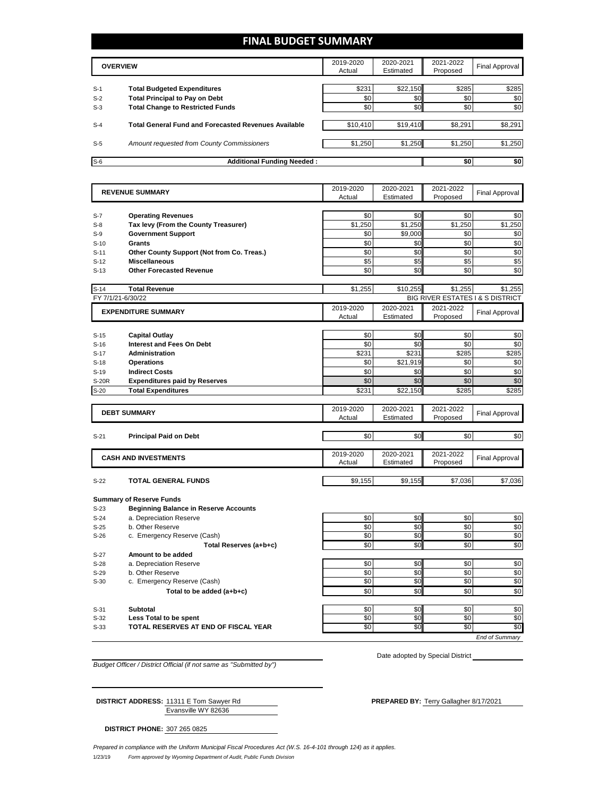## **FINAL BUDGET SUMMARY**

|       | <b>OVERVIEW</b>                                             |          | 2020-2021<br>Estimated | 2021-2022<br>Proposed | Final Approval |  |
|-------|-------------------------------------------------------------|----------|------------------------|-----------------------|----------------|--|
|       |                                                             |          |                        |                       |                |  |
| $S-1$ | <b>Total Budgeted Expenditures</b>                          | \$231    | \$22,150               | \$285                 | \$285          |  |
| $S-2$ | <b>Total Principal to Pay on Debt</b>                       | \$0      | \$0 <sub>1</sub>       | \$0                   | \$0            |  |
| $S-3$ | <b>Total Change to Restricted Funds</b>                     | \$0      | \$0                    | \$0                   | \$0            |  |
|       |                                                             |          |                        |                       |                |  |
| $S-4$ | <b>Total General Fund and Forecasted Revenues Available</b> | \$10,410 | \$19,410               | \$8.291               | \$8,291        |  |
|       |                                                             |          |                        |                       |                |  |
| $S-5$ | Amount requested from County Commissioners                  | \$1,250  | \$1,250                | \$1,250               | \$1,250        |  |
|       |                                                             |          |                        |                       |                |  |
| $S-6$ | <b>Additional Funding Needed:</b>                           |          |                        |                       | \$0            |  |

|                                | <b>REVENUE SUMMARY</b>                       | 2019-2020  | 2020-2021<br>Estimated           | 2021-2022              | <b>Final Approval</b> |
|--------------------------------|----------------------------------------------|------------|----------------------------------|------------------------|-----------------------|
|                                |                                              | Actual     |                                  | Proposed               |                       |
| $S-7$                          | <b>Operating Revenues</b>                    | \$0        | \$0                              | \$0                    | \$0                   |
| $S-8$                          | Tax levy (From the County Treasurer)         | \$1,250    | \$1,250                          | \$1,250                | \$1,250               |
| $S-9$                          | <b>Government Support</b>                    | \$0        | \$9,000                          | \$0                    | \$0                   |
| $S-10$                         | Grants                                       | \$0        | \$0                              | \$0                    | \$0                   |
| $S-11$                         | Other County Support (Not from Co. Treas.)   | \$0        | \$0                              | \$0                    | \$0                   |
| $S-12$                         | <b>Miscellaneous</b>                         | \$5        | \$5                              | \$5                    | \$5                   |
| $S-13$                         | <b>Other Forecasted Revenue</b>              | \$0        | \$0                              | \$0                    | \$0                   |
|                                |                                              |            |                                  |                        |                       |
| $S-14$                         | <b>Total Revenue</b>                         | \$1,255    | \$10,255                         | \$1,255                | \$1,255               |
| FY 7/1/21-6/30/22<br>2019-2020 |                                              |            | BIG RIVER ESTATES I & S DISTRICT |                        |                       |
|                                | <b>EXPENDITURE SUMMARY</b>                   |            | 2020-2021                        | 2021-2022              | <b>Final Approval</b> |
|                                |                                              | Actual     | Estimated                        | Proposed               |                       |
| $S-15$                         | <b>Capital Outlay</b>                        | \$0        | \$0                              | \$0                    | \$0                   |
| $S-16$                         | Interest and Fees On Debt                    | \$0        | \$0                              | \$0                    | \$0                   |
| $S-17$                         | <b>Administration</b>                        | \$231      | \$231                            | \$285                  | \$285                 |
| $S-18$                         | <b>Operations</b>                            | \$0        | \$21.919                         | \$0                    | \$0                   |
| $S-19$                         | <b>Indirect Costs</b>                        | \$0        | \$0                              | \$0                    | \$0                   |
| <b>S-20R</b>                   | <b>Expenditures paid by Reserves</b>         | \$0        | \$0                              | \$0                    | \$0                   |
| $S-20$                         | <b>Total Expenditures</b>                    | \$231      | \$22,150                         | \$285                  | \$285                 |
|                                |                                              |            |                                  |                        |                       |
|                                | <b>DEBT SUMMARY</b>                          | 2019-2020  | 2020-2021                        | 2021-2022              | <b>Final Approval</b> |
|                                |                                              | Actual     | Estimated                        | Proposed               |                       |
| $S-21$                         | <b>Principal Paid on Debt</b>                | \$0        | \$0                              | \$0                    | \$0                   |
|                                |                                              |            |                                  |                        |                       |
|                                | <b>CASH AND INVESTMENTS</b>                  | 2019-2020  | 2020-2021                        | 2021-2022              | <b>Final Approval</b> |
|                                |                                              | Actual     | Estimated                        | Proposed               |                       |
| $S-22$                         | <b>TOTAL GENERAL FUNDS</b>                   | \$9,155    | \$9,155                          | \$7,036                | \$7,036               |
|                                |                                              |            |                                  |                        |                       |
|                                | <b>Summary of Reserve Funds</b>              |            |                                  |                        |                       |
| S-23                           | <b>Beginning Balance in Reserve Accounts</b> |            |                                  |                        |                       |
| $S-24$                         | a. Depreciation Reserve                      | \$0        | \$0                              | \$0                    | \$0                   |
| $S-25$                         | b. Other Reserve                             | \$0        | \$0                              | \$0                    | \$0                   |
| $S-26$                         | c. Emergency Reserve (Cash)                  | \$0        | \$0                              | \$0                    | \$0                   |
|                                | Total Reserves (a+b+c)                       | \$0        | \$0                              | \$0                    | $\overline{50}$       |
| $S-27$                         | Amount to be added                           |            |                                  |                        |                       |
| $S-28$                         | a. Depreciation Reserve                      | \$0        | \$0                              | \$0                    | \$0                   |
| $S-29$                         | b. Other Reserve                             | \$0        | \$0                              | \$0                    | \$0                   |
| $S-30$                         | c. Emergency Reserve (Cash)                  | \$0        | \$0                              | \$0                    | \$0                   |
|                                | Total to be added (a+b+c)                    | \$0        | \$0                              | \$0                    | \$0                   |
|                                |                                              |            |                                  |                        |                       |
| $S-31$                         | <b>Subtotal</b>                              | \$0        | \$0                              | \$0                    | \$0                   |
| $S-32$                         | Less Total to be spent                       | \$0<br>\$0 | \$0                              | \$0<br>$\overline{50}$ | \$0<br>\$0            |
| $S-33$                         | TOTAL RESERVES AT END OF FISCAL YEAR         |            | \$0                              |                        |                       |
|                                |                                              |            |                                  |                        | <b>End of Summary</b> |

*Budget Officer / District Official (if not same as "Submitted by")*

Evansville WY 82636 **DISTRICT ADDRESS:** 11311 E Tom Sawyer Rd **PREPARED BY: Terry Gallagher 8/17/2021** 

Date adopted by Special District

**DISTRICT PHONE:** 307 265 0825

1/23/19 *Form approved by Wyoming Department of Audit, Public Funds Division Prepared in compliance with the Uniform Municipal Fiscal Procedures Act (W.S. 16-4-101 through 124) as it applies.*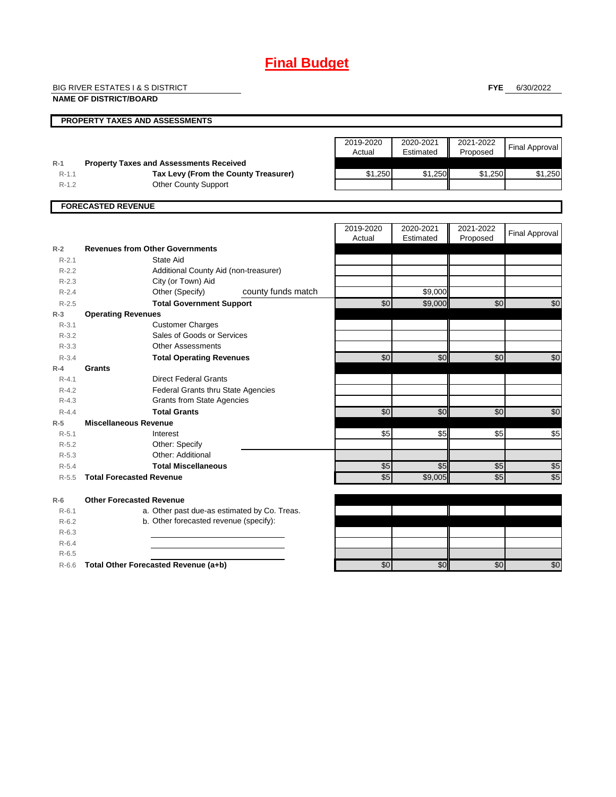## **Final Budget**

BIG RIVER ESTATES I & S DISTRICT

**NAME OF DISTRICT/BOARD**

**FYE** 6/30/2022

|                      | <b>NAME OF DISTRICT/BOARD</b>                                                          |                     |                        |                       |                       |
|----------------------|----------------------------------------------------------------------------------------|---------------------|------------------------|-----------------------|-----------------------|
|                      | PROPERTY TAXES AND ASSESSMENTS                                                         |                     |                        |                       |                       |
|                      |                                                                                        | 2019-2020<br>Actual | 2020-2021<br>Estimated | 2021-2022<br>Proposed | <b>Final Approval</b> |
| $R-1$<br>$R-1.1$     | <b>Property Taxes and Assessments Received</b><br>Tax Levy (From the County Treasurer) | \$1,250             | \$1,250                | \$1,250               | \$1,250               |
| $R-1.2$              | <b>Other County Support</b>                                                            |                     |                        |                       |                       |
|                      | <b>FORECASTED REVENUE</b>                                                              |                     |                        |                       |                       |
|                      |                                                                                        |                     |                        |                       |                       |
|                      |                                                                                        | 2019-2020<br>Actual | 2020-2021<br>Estimated | 2021-2022<br>Proposed | <b>Final Approval</b> |
| $R-2$                | <b>Revenues from Other Governments</b>                                                 |                     |                        |                       |                       |
| $R - 2.1$            | State Aid                                                                              |                     |                        |                       |                       |
| $R - 2.2$            | Additional County Aid (non-treasurer)                                                  |                     |                        |                       |                       |
| $R - 2.3$            | City (or Town) Aid                                                                     |                     |                        |                       |                       |
| $R - 2.4$            | county funds match<br>Other (Specify)                                                  |                     | \$9,000                |                       |                       |
| $R - 2.5$            | <b>Total Government Support</b>                                                        | \$0                 | \$9,000                | \$0                   | $\frac{6}{5}$         |
| $R-3$                | <b>Operating Revenues</b>                                                              |                     |                        |                       |                       |
| $R - 3.1$            | <b>Customer Charges</b>                                                                |                     |                        |                       |                       |
| $R - 3.2$            | Sales of Goods or Services<br><b>Other Assessments</b>                                 |                     |                        |                       |                       |
| $R - 3.3$            |                                                                                        |                     |                        |                       |                       |
| $R - 3.4$            | <b>Total Operating Revenues</b><br>Grants                                              | \$0                 | \$0                    | \$0                   | \$0                   |
| $R - 4$<br>$R - 4.1$ | <b>Direct Federal Grants</b>                                                           |                     |                        |                       |                       |
| $R - 4.2$            | Federal Grants thru State Agencies                                                     |                     |                        |                       |                       |
| $R - 4.3$            | <b>Grants from State Agencies</b>                                                      |                     |                        |                       |                       |
| $R - 4.4$            | <b>Total Grants</b>                                                                    | \$0                 | \$0                    | $\overline{30}$       | $\overline{50}$       |
| $R-5$                | <b>Miscellaneous Revenue</b>                                                           |                     |                        |                       |                       |
| $R-5.1$              | Interest                                                                               | \$5                 | \$5                    | \$5                   | \$5                   |
| $R - 5.2$            | Other: Specify                                                                         |                     |                        |                       |                       |
| $R - 5.3$            | Other: Additional                                                                      |                     |                        |                       |                       |
| $R - 5.4$            | <b>Total Miscellaneous</b>                                                             | \$5                 | \$5                    | \$5                   | $\frac{6}{5}$         |
| $R - 5.5$            | <b>Total Forecasted Revenue</b>                                                        | \$5                 | \$9.005                | \$5                   | \$5                   |
|                      |                                                                                        |                     |                        |                       |                       |

**R-6 Other Forecasted Revenue** R-6.1 a. Other past due-as estimated by Co. Treas. R-6.2 b. Other forecasted revenue (specify): R-6.3 R-6.4 R-6.5

R-6.6 **Total Other Forecasted Revenue (a+b) 12 \ 12 \ 12 \ 12 \ 13 \ 30** \$0 \$0 \$0 \$0 \$0 \$0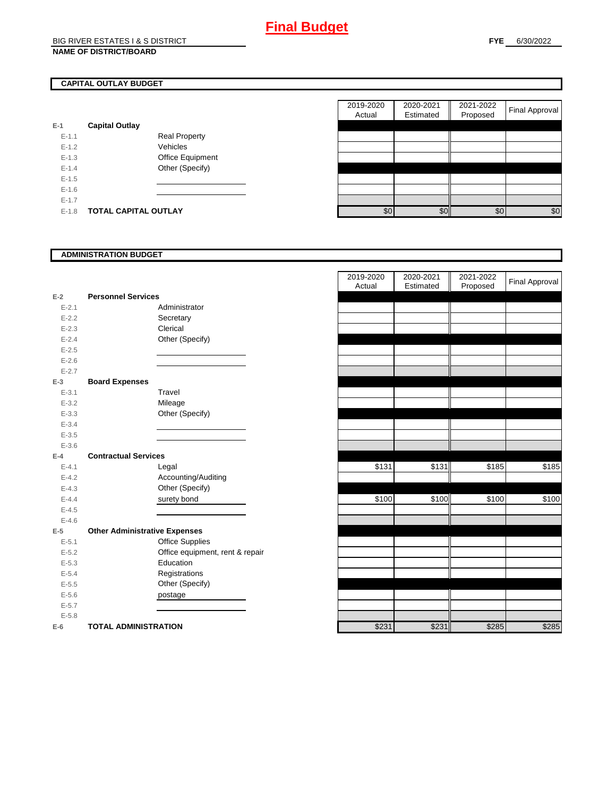## **CAPITAL OUTLAY BUDGET**

| $E-1$     | <b>Capital Outlay</b> |                         |
|-----------|-----------------------|-------------------------|
| $E - 1.1$ |                       | <b>Real Property</b>    |
| $F-12$    |                       | Vehicles                |
| $E - 1.3$ |                       | <b>Office Equipment</b> |
| $F-14$    |                       | Other (Specify)         |
| $F-1.5$   |                       |                         |
| $F-16$    |                       |                         |
| $F-17$    |                       |                         |
| $E - 1.8$ | TOTAL CAPITAL OUTLAY  |                         |

|           |                             |                      | 2019-2020<br>Actual | 2020-2021<br>Estimated | 2021-2022<br>Proposed | <b>Final Approval</b> |
|-----------|-----------------------------|----------------------|---------------------|------------------------|-----------------------|-----------------------|
|           |                             |                      |                     |                        |                       |                       |
|           | <b>Capital Outlay</b>       |                      |                     |                        |                       |                       |
| $E - 1.1$ |                             | <b>Real Property</b> |                     |                        |                       |                       |
| $E-1.2$   |                             | Vehicles             |                     |                        |                       |                       |
| $E-1.3$   |                             | Office Equipment     |                     |                        |                       |                       |
| $E - 1.4$ |                             | Other (Specify)      |                     |                        |                       |                       |
| $E-1.5$   |                             |                      |                     |                        |                       |                       |
| $E-1.6$   |                             |                      |                     |                        |                       |                       |
| $E - 1.7$ |                             |                      |                     |                        |                       |                       |
| $E-1.8$   | <b>TOTAL CAPITAL OUTLAY</b> |                      | \$0                 | \$0                    | \$0                   | \$0                   |
|           |                             |                      |                     |                        |                       |                       |

### **ADMINISTRATION BUDGET**

| $E-2$     | <b>Personnel Services</b>            |                                 |
|-----------|--------------------------------------|---------------------------------|
| $E - 2.1$ |                                      | Administrator                   |
| $E - 2.2$ |                                      | Secretary                       |
| $E - 2.3$ |                                      | Clerical                        |
| $E - 2.4$ |                                      | Other (Specify)                 |
| $E - 2.5$ |                                      |                                 |
| $E - 2.6$ |                                      |                                 |
| $E - 2.7$ |                                      |                                 |
| $E-3$     | <b>Board Expenses</b>                |                                 |
| $E - 3.1$ |                                      | Travel                          |
| $E - 3.2$ |                                      | Mileage                         |
| $E - 3.3$ |                                      | Other (Specify)                 |
| $E - 3.4$ |                                      |                                 |
| $E - 3.5$ |                                      |                                 |
| $E - 3.6$ |                                      |                                 |
| $F-4$     | <b>Contractual Services</b>          |                                 |
| $E - 4.1$ |                                      | Legal                           |
| $E - 4.2$ |                                      | Accounting/Auditing             |
| $E - 4.3$ |                                      | Other (Specify)                 |
| $E - 4.4$ |                                      | surety bond                     |
| $E - 4.5$ |                                      |                                 |
| $E - 4.6$ |                                      |                                 |
| $E-5$     | <b>Other Administrative Expenses</b> |                                 |
| $E - 5.1$ |                                      | <b>Office Supplies</b>          |
| $E - 5.2$ |                                      | Office equipment, rent & repair |
| $E - 5.3$ |                                      | Education                       |
| $E - 5.4$ |                                      | Registrations                   |
| $E - 5.5$ |                                      | Other (Specify)                 |
| $E - 5.6$ |                                      | postage                         |
| $E - 5.7$ |                                      |                                 |
| $E - 5.8$ |                                      |                                 |
| $E-6$     | <b>TOTAL ADMINISTRATION</b>          |                                 |

|                          |                                      | 2019-2020<br>Actual | 2020-2021<br>Estimated | 2021-2022<br>Proposed | <b>Final Approval</b> |
|--------------------------|--------------------------------------|---------------------|------------------------|-----------------------|-----------------------|
| $\overline{\mathbf{r}}$  | <b>Personnel Services</b>            |                     |                        |                       |                       |
| $E - 2.1$                | Administrator                        |                     |                        |                       |                       |
| $E - 2.2$                | Secretary                            |                     |                        |                       |                       |
| $E - 2.3$                | Clerical                             |                     |                        |                       |                       |
| $E - 2.4$                | Other (Specify)                      |                     |                        |                       |                       |
| $E - 2.5$                |                                      |                     |                        |                       |                       |
| $E - 2.6$                |                                      |                     |                        |                       |                       |
| $E - 2.7$                |                                      |                     |                        |                       |                       |
| $\overline{\phantom{a}}$ | <b>Board Expenses</b>                |                     |                        |                       |                       |
| $E - 3.1$                | Travel                               |                     |                        |                       |                       |
| $E - 3.2$                | Mileage                              |                     |                        |                       |                       |
| $E - 3.3$                | Other (Specify)                      |                     |                        |                       |                       |
| $E - 3.4$                |                                      |                     |                        |                       |                       |
| $E - 3.5$                |                                      |                     |                        |                       |                       |
| $E - 3.6$                |                                      |                     |                        |                       |                       |
| Ļ.                       | <b>Contractual Services</b>          |                     |                        |                       |                       |
| $E - 4.1$                | Legal                                | \$131               | \$131                  | \$185                 | \$185                 |
| $E - 4.2$                | Accounting/Auditing                  |                     |                        |                       |                       |
| $E - 4.3$                | Other (Specify)                      |                     |                        |                       |                       |
| $E - 4.4$                | surety bond                          | \$100               | \$100                  | \$100                 | \$100                 |
| $E - 4.5$                |                                      |                     |                        |                       |                       |
| $E - 4.6$                |                                      |                     |                        |                       |                       |
| $\overline{\phantom{a}}$ | <b>Other Administrative Expenses</b> |                     |                        |                       |                       |
| $E - 5.1$                | Office Supplies                      |                     |                        |                       |                       |
| $E - 5.2$                | Office equipment, rent & repair      |                     |                        |                       |                       |
| $E - 5.3$                | Education                            |                     |                        |                       |                       |
| $E - 5.4$                | Registrations                        |                     |                        |                       |                       |
| $E - 5.5$                | Other (Specify)                      |                     |                        |                       |                       |
| $E - 5.6$                | postage                              |                     |                        |                       |                       |
| $E - 5.7$                |                                      |                     |                        |                       |                       |
| $E - 5.8$                |                                      |                     |                        |                       |                       |
| ì                        | <b>TOTAL ADMINISTRATION</b>          | \$231               | \$231                  | \$285                 | \$285                 |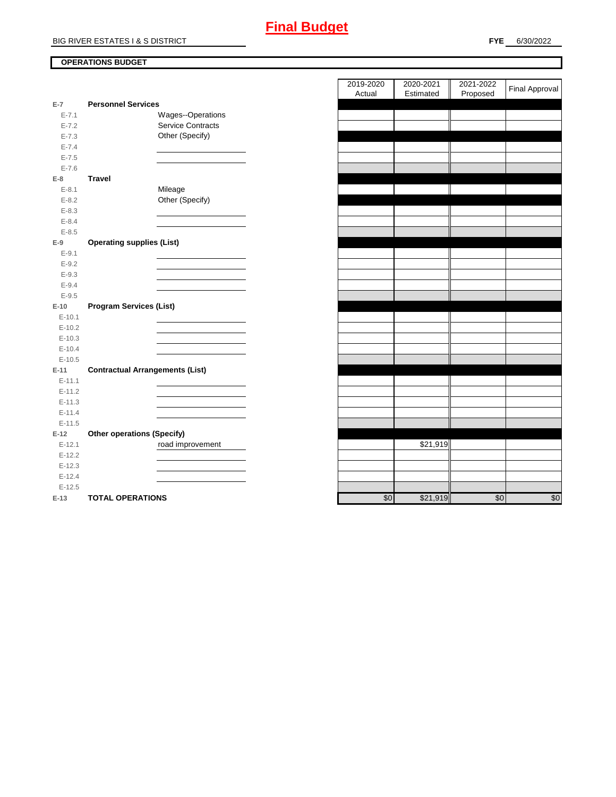## **OPERATIONS BUDGET**

| $E-7$     | <b>Personnel Services</b>              |     |          |
|-----------|----------------------------------------|-----|----------|
| $E - 7.1$ | Wages--Operations                      |     |          |
| $E - 7.2$ | <b>Service Contracts</b>               |     |          |
| $E - 7.3$ | Other (Specify)                        |     |          |
| $E - 7.4$ |                                        |     |          |
| $E - 7.5$ |                                        |     |          |
| $E - 7.6$ |                                        |     |          |
| $E-8$     | <b>Travel</b>                          |     |          |
| $E - 8.1$ | Mileage                                |     |          |
| $E - 8.2$ | Other (Specify)                        |     |          |
| $E - 8.3$ |                                        |     |          |
| $E - 8.4$ |                                        |     |          |
| $E - 8.5$ |                                        |     |          |
| $E-9$     | <b>Operating supplies (List)</b>       |     |          |
| $E - 9.1$ |                                        |     |          |
| $E-9.2$   |                                        |     |          |
| $E-9.3$   |                                        |     |          |
| $E - 9.4$ |                                        |     |          |
| $E - 9.5$ |                                        |     |          |
| $E-10$    | <b>Program Services (List)</b>         |     |          |
| $E-10.1$  |                                        |     |          |
| $E-10.2$  |                                        |     |          |
| $E-10.3$  |                                        |     |          |
| $E-10.4$  |                                        |     |          |
| $E-10.5$  |                                        |     |          |
| $E-11$    | <b>Contractual Arrangements (List)</b> |     |          |
| $E-11.1$  |                                        |     |          |
| $E-11.2$  |                                        |     |          |
| $E-11.3$  |                                        |     |          |
| $E-11.4$  |                                        |     |          |
| $E-11.5$  |                                        |     |          |
| $E-12$    | <b>Other operations (Specify)</b>      |     |          |
| $E-12.1$  | road improvement                       |     | \$21,919 |
| $E-12.2$  |                                        |     |          |
| $E-12.3$  |                                        |     |          |
| $E-12.4$  |                                        |     |          |
| $E-12.5$  |                                        |     |          |
| $E-13$    | <b>TOTAL OPERATIONS</b>                | \$0 | \$21,919 |

| 2019-2020<br>Actual | 2020-2021<br>Estimated | 2021-2022<br>Proposed | Final Approval |
|---------------------|------------------------|-----------------------|----------------|
|                     |                        |                       |                |
|                     |                        |                       |                |
|                     |                        |                       |                |
|                     |                        |                       |                |
|                     |                        |                       |                |
|                     |                        |                       |                |
|                     |                        |                       |                |
|                     |                        |                       |                |
|                     |                        |                       |                |
|                     |                        |                       |                |
|                     |                        |                       |                |
|                     |                        |                       |                |
|                     |                        |                       |                |
|                     |                        |                       |                |
|                     |                        |                       |                |
|                     |                        |                       |                |
|                     |                        |                       |                |
|                     |                        |                       |                |
|                     |                        |                       |                |
|                     |                        |                       |                |
|                     |                        |                       |                |
|                     |                        |                       |                |
|                     |                        |                       |                |
|                     |                        |                       |                |
|                     |                        |                       |                |
|                     |                        |                       |                |
|                     |                        |                       |                |
|                     |                        |                       |                |
|                     |                        |                       |                |
|                     | \$21,919               |                       |                |
|                     |                        |                       |                |
|                     |                        |                       |                |
|                     |                        |                       |                |
|                     |                        |                       |                |
| \$0                 | \$21.919               | \$0                   | \$0            |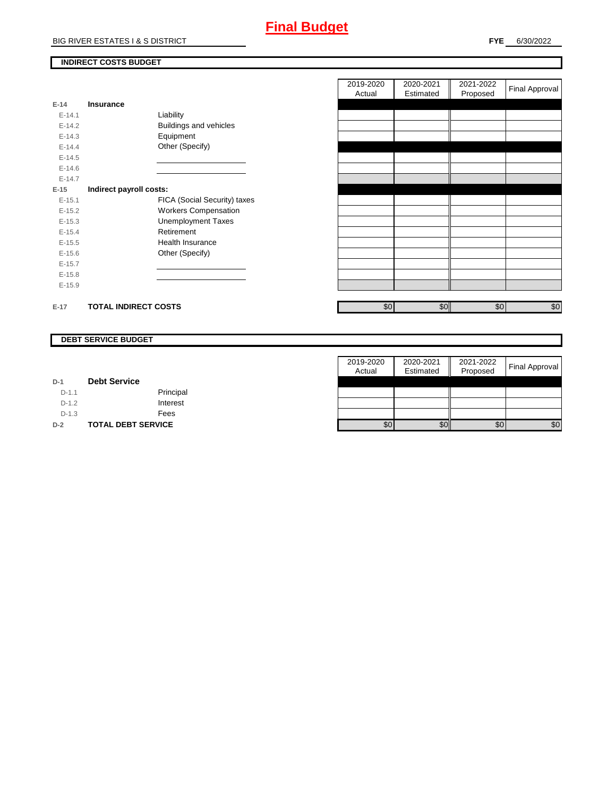# **Final Budget**

## **INDIRECT COSTS BUDGET**

| E-14       | <b>Insurance</b>            |                               |
|------------|-----------------------------|-------------------------------|
| $F-141$    |                             | Liability                     |
| $F-142$    |                             | <b>Buildings and vehicles</b> |
| $E-14.3$   |                             | Equipment                     |
| $F-144$    |                             | Other (Specify)               |
| $E-14.5$   |                             |                               |
| $E - 14.6$ |                             |                               |
| $F-147$    |                             |                               |
| $E-15$     | Indirect payroll costs:     |                               |
| $E-15.1$   |                             | FICA (Social Security) taxes  |
| $E-15.2$   |                             | <b>Workers Compensation</b>   |
| $E - 15.3$ |                             | Unemployment Taxes            |
| $E-15.4$   |                             | Retirement                    |
| $E-15.5$   |                             | Health Insurance              |
| $E - 15.6$ |                             | Other (Specify)               |
| $E-15.7$   |                             |                               |
| $E-15.8$   |                             |                               |
| $E-15.9$   |                             |                               |
|            |                             |                               |
| $E-17$     | <b>TOTAL INDIRECT COSTS</b> |                               |

| 2019-2020<br>Actual | 2020-2021<br>Estimated | 2021-2022<br>Proposed | Final Approval |
|---------------------|------------------------|-----------------------|----------------|
|                     |                        |                       |                |
|                     |                        |                       |                |
|                     |                        |                       |                |
|                     |                        |                       |                |
|                     |                        |                       |                |
|                     |                        |                       |                |
|                     |                        |                       |                |
|                     |                        |                       |                |
|                     |                        |                       |                |
|                     |                        |                       |                |
|                     |                        |                       |                |
|                     |                        |                       |                |
|                     |                        |                       |                |
|                     |                        |                       |                |
|                     |                        |                       |                |
|                     |                        |                       |                |
| \$0                 | \$0                    | \$0                   | \$0            |

### **DEBT SERVICE BUDGET**

|         |                           | 2019-2020 | 2020-2021 | 2021-2022 |                       |
|---------|---------------------------|-----------|-----------|-----------|-----------------------|
|         |                           | Actual    | Estimated | Proposed  | <b>Final Approval</b> |
| $D-1$   | <b>Debt Service</b>       |           |           |           |                       |
| $D-1.1$ | Principal                 |           |           |           |                       |
| $D-1.2$ | Interest                  |           |           |           |                       |
| $D-1.3$ | Fees                      |           |           |           |                       |
| $D-2$   | <b>TOTAL DEBT SERVICE</b> | \$0       | \$0       | \$0       | \$0                   |